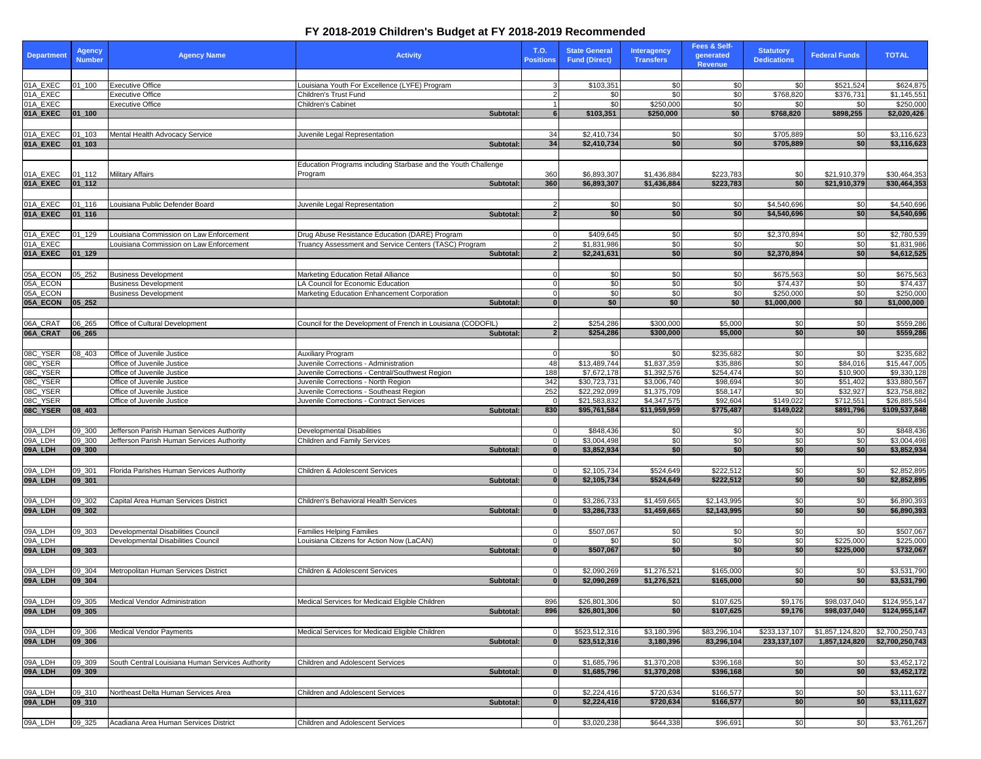| <b>Department</b>    | <b>Agency</b><br><b>Number</b> | <b>Agency Name</b>                                         | <b>Activity</b>                                                                  | <b>T.O.</b><br><b>Positions</b> | <b>State General</b><br><b>Fund (Direct)</b> | <b>Interagency</b><br><b>Transfers</b> | Fees & Self-<br>generated<br>Revenue | <b>Statutory</b><br><b>Dedications</b> | <b>Federal Funds</b>         | <b>TOTAL</b>                   |
|----------------------|--------------------------------|------------------------------------------------------------|----------------------------------------------------------------------------------|---------------------------------|----------------------------------------------|----------------------------------------|--------------------------------------|----------------------------------------|------------------------------|--------------------------------|
|                      |                                |                                                            |                                                                                  |                                 |                                              |                                        |                                      |                                        |                              |                                |
| 01A_EXEC<br>01A_EXEC | $01 - 100$                     | <b>Executive Office</b><br><b>Executive Office</b>         | Louisiana Youth For Excellence (LYFE) Program<br><b>Children's Trust Fund</b>    |                                 | \$103,351<br>\$0 <sub>1</sub>                | <b>SO</b><br>\$0                       | \$0<br>$\sqrt{6}$                    | \$0<br>\$768,820                       | \$521,524                    | \$624,875                      |
| 01A_EXEC             |                                | <b>Executive Office</b>                                    | Children's Cabinet                                                               |                                 | \$0                                          | \$250,000                              | \$0                                  | \$0                                    | \$376,731<br>\$0             | \$1,145,551<br>\$250,000       |
| 01A_EXEC             | $ 01 $ 100                     |                                                            | Subtotal:                                                                        |                                 | \$103,351                                    | \$250,000                              | \$0                                  | \$768,820                              | \$898,255                    | \$2,020,426                    |
|                      |                                |                                                            |                                                                                  |                                 |                                              |                                        |                                      |                                        |                              |                                |
| 01A_EXEC             | 01_103                         | Mental Health Advocacy Service                             | Juvenile Legal Representation                                                    | 34                              | \$2,410,734                                  | \$0                                    | \$0                                  | \$705,889                              | \$0                          | \$3,116,623                    |
| 01A_EXEC             | $ 01$ <sub>-103</sub>          |                                                            | Subtotal:                                                                        | 34                              | \$2,410,734                                  | \$0                                    | \$0                                  | \$705,889                              | \$0                          | \$3,116,623                    |
|                      |                                |                                                            | Education Programs including Starbase and the Youth Challenge                    |                                 |                                              |                                        |                                      |                                        |                              |                                |
| 01A_EXEC             | $01 - 112$                     | <b>Military Affairs</b>                                    | Program                                                                          | 360                             | \$6,893,307                                  | \$1,436,884                            | \$223,783                            | \$0                                    | \$21,910,379                 | \$30,464,353                   |
| 01A_EXEC             | $ 01_112 $                     |                                                            | Subtotal:                                                                        | 360                             | \$6,893,307                                  | \$1,436,884                            | \$223,783                            | \$0                                    | \$21,910,379                 | \$30,464,353                   |
|                      |                                |                                                            |                                                                                  |                                 |                                              |                                        |                                      |                                        |                              |                                |
| 01A_EXEC             | $01 - 116$                     | Louisiana Public Defender Board                            | Juvenile Legal Representation                                                    |                                 | \$0                                          | \$0                                    | \$0                                  | \$4,540,696                            | \$0                          | \$4,540,696                    |
| 01A_EXEC             | $ 01_116 $                     |                                                            | Subtotal:                                                                        | $\overline{2}$                  | \$0                                          | \$0 <sub>1</sub>                       | \$0                                  | \$4,540,696                            | \$0 <sub>1</sub>             | \$4,540,696                    |
| 01A_EXEC             | $01 - 129$                     | Louisiana Commission on Law Enforcement                    | Drug Abuse Resistance Education (DARE) Program                                   |                                 | \$409,645                                    | \$0                                    | \$0                                  | \$2,370,894                            | \$0                          | \$2,780,539                    |
| 01A_EXEC             |                                | ouisiana Commission on Law Enforcement                     | Fruancy Assessment and Service Centers (TASC) Program                            |                                 | \$1,831,986                                  | \$0                                    | \$0                                  | \$0                                    | \$0                          | \$1,831,986                    |
| 01A_EXEC             | $ 01_129 $                     |                                                            | Subtotal:                                                                        |                                 | \$2,241,631                                  | \$0                                    | \$0                                  | \$2,370,894                            | \$0                          | \$4,612,525                    |
|                      |                                |                                                            |                                                                                  |                                 |                                              |                                        |                                      |                                        |                              |                                |
| 05A_ECON             | 05_252                         | <b>Business Development</b>                                | Marketing Education Retail Alliance                                              |                                 | \$0                                          | \$0                                    | \$0                                  | \$675,563                              | \$0                          | \$675,563                      |
| 05A_ECON<br>05A_ECON |                                | <b>Business Development</b><br><b>Business Development</b> | LA Council for Economic Education<br>Marketing Education Enhancement Corporation |                                 | \$0<br>\$0                                   | \$0<br>\$0                             | $\sqrt{60}$<br>\$0                   | \$74,437<br>\$250,000                  | $\overline{30}$<br>\$0       | \$74,437<br>\$250,000          |
| 05A_ECON             | 05 252                         |                                                            | Subtotal:                                                                        |                                 | \$0                                          | \$0                                    | \$0                                  | \$1,000,000                            | \$0                          | \$1,000,000                    |
|                      |                                |                                                            |                                                                                  |                                 |                                              |                                        |                                      |                                        |                              |                                |
| 06A_CRAT             | 06_265                         | Office of Cultural Development                             | Council for the Development of French in Louisiana (CODOFIL)                     |                                 | \$254,286                                    | \$300,000                              | \$5,000                              | \$0                                    | \$0                          | \$559,286                      |
| 06A_CRAT             | $ 06_265 $                     |                                                            | Subtotal:                                                                        |                                 | \$254,286                                    | \$300,000                              | \$5,000                              | \$0                                    | \$0 <sub>1</sub>             | \$559,286                      |
|                      |                                |                                                            |                                                                                  |                                 |                                              |                                        |                                      |                                        |                              |                                |
| 08C_YSER<br>08C_YSER | 08_403                         | Office of Juvenile Justice<br>Office of Juvenile Justice   | <b>Auxiliary Program</b><br>Juvenile Corrections - Administration                | -48                             | <b>SO</b><br>\$13,489,744                    | \$0<br>\$1,837,359                     | \$235,682<br>\$35,886                | \$0<br>\$0                             | \$0<br>\$84,016              | \$235,682<br>\$15,447,005      |
| 08C_YSER             |                                | Office of Juvenile Justice                                 | Juvenile Corrections - Central/Southwest Region                                  | 188                             | \$7,672,178                                  | \$1,392,576                            | \$254,474                            | \$0                                    | \$10,900                     | \$9,330,128                    |
| 08C_YSER             |                                | Office of Juvenile Justice                                 | Juvenile Corrections - North Region                                              | 342                             | \$30,723,731                                 | \$3,006,740                            | \$98,694                             | \$0                                    | \$51,402                     | \$33,880,567                   |
| 08C_YSER             |                                | Office of Juvenile Justice                                 | Juvenile Corrections - Southeast Region                                          | 252                             | \$22,292,099                                 | \$1,375,709                            | \$58,147                             | \$0                                    | \$32,927                     | \$23,758,882                   |
| 08C_YSER<br>08C_YSER | $ 08 $ 403                     | Office of Juvenile Justice                                 | Juvenile Corrections - Contract Services<br>Subtotal:                            | 830                             | \$21,583,832<br>\$95,761,584                 | \$4,347,575<br>\$11,959,959            | \$92,604<br>\$775,487                | \$149,022<br>\$149,022                 | \$712,551<br>\$891,796       | \$26,885,584<br>\$109,537,848  |
|                      |                                |                                                            |                                                                                  |                                 |                                              |                                        |                                      |                                        |                              |                                |
| 09A_LDH              | 09_300                         | Jefferson Parish Human Services Authority                  | <b>Developmental Disabilities</b>                                                |                                 | \$848,436                                    | \$0                                    | \$0                                  | \$0                                    | \$0                          | \$848,436                      |
| 09A_LDH              | 09_300                         | Jefferson Parish Human Services Authority                  | <b>Children and Family Services</b>                                              |                                 | \$3,004,498                                  | 30                                     | \$0                                  | $\overline{50}$                        | $\frac{6}{5}$                | \$3,004,498                    |
| 09A_LDH              | 09 300                         |                                                            | Subtotal:                                                                        |                                 | \$3,852,934                                  | \$0                                    | \$0                                  | \$0                                    | \$0                          | \$3,852,934                    |
|                      |                                |                                                            |                                                                                  |                                 |                                              |                                        |                                      |                                        |                              |                                |
| 09A_LDH<br>09A LDH   | 09_301<br> 09 301              | Florida Parishes Human Services Authority                  | <b>Children &amp; Adolescent Services</b><br>Subtotal:                           |                                 | \$2,105,734<br>\$2,105,734                   | \$524,649<br>\$524,649                 | \$222,512<br>\$222,512               | \$0<br>\$0                             | \$0<br>\$0 <sub>1</sub>      | \$2,852,895<br>\$2,852,895     |
|                      |                                |                                                            |                                                                                  |                                 |                                              |                                        |                                      |                                        |                              |                                |
| 09A_LDH              | 09_302                         | Capital Area Human Services District                       | Children's Behavioral Health Services                                            |                                 | \$3,286,733                                  | \$1,459,665                            | $\sqrt{$2,143,995}$                  | \$0                                    | \$0                          | \$6,890,393                    |
| 09A_LDH              | 09 302                         |                                                            | <b>Subtotal:</b>                                                                 |                                 | \$3,286,733                                  | \$1,459,665                            | \$2,143,995                          | \$0                                    | \$0                          | \$6,890,393                    |
|                      |                                |                                                            |                                                                                  |                                 |                                              |                                        |                                      |                                        |                              |                                |
| 09A_LDH              | 09 303                         | <b>Developmental Disabilities Council</b>                  | <b>Families Helping Families</b>                                                 |                                 | \$507,067                                    | \$0                                    | \$0                                  | \$0                                    | \$0                          | \$507,067                      |
| 09A_LDH<br>09A_LDH   | 09 303                         | Developmental Disabilities Council                         | Louisiana Citizens for Action Now (LaCAN)<br>Subtotal:                           |                                 | \$0<br>\$507,067                             | \$0<br>\$0                             | \$0<br> \$0                          | $\frac{1}{6}$<br>\$0                   | \$225,000<br>\$225,000       | \$225,000<br>\$732,067         |
|                      |                                |                                                            |                                                                                  |                                 |                                              |                                        |                                      |                                        |                              |                                |
| 09A_LDH              | 09_304                         | Metropolitan Human Services District                       | Children & Adolescent Services                                                   |                                 | \$2,090,269                                  | \$1,276,521                            | \$165,000                            | \$0                                    | \$0                          | \$3,531,790                    |
| 09A_LDH              | 09 304                         |                                                            | Subtotal:                                                                        |                                 | \$2,090,269                                  | \$1,276,521                            | \$165,000                            | \$0                                    | \$0 <sub>1</sub>             | \$3,531,790                    |
|                      |                                |                                                            |                                                                                  |                                 |                                              |                                        |                                      |                                        |                              |                                |
| 09A_LDH<br>09A_LDH   | 09_305<br> 09 305              | Medical Vendor Administration                              | Medical Services for Medicaid Eligible Children<br>Subtotal:                     | 896<br>896                      | \$26,801,306<br>\$26,801,306                 | \$0<br>\$0                             | \$107,625<br>\$107,625               | \$9,176<br>\$9,176                     | \$98,037,040<br>\$98,037,040 | \$124,955,147<br>\$124,955,147 |
|                      |                                |                                                            |                                                                                  |                                 |                                              |                                        |                                      |                                        |                              |                                |
| 09A_LDH              | 09_306                         | <b>Medical Vendor Payments</b>                             | Medical Services for Medicaid Eligible Children                                  |                                 | \$523,512,316                                | \$3,180,396                            | \$83,296,104                         | \$233,137,107                          | \$1,857,124,820              | \$2,700,250,743                |
| 09A_LDH              | 09 306                         |                                                            | Subtotal:                                                                        |                                 | 523,512,316                                  | 3,180,396                              | 83,296,104                           | 233, 137, 107                          | 1,857,124,820                | \$2,700,250,743                |
|                      |                                |                                                            |                                                                                  |                                 |                                              |                                        |                                      |                                        |                              |                                |
| 09A_LDH              | $09 - 309$                     | South Central Louisiana Human Services Authority           | <b>Children and Adolescent Services</b>                                          |                                 | \$1,685,796                                  | $\overline{1,370,208}$                 | \$396,168                            | \$0                                    | \$0                          | \$3,452,172                    |
| 09A_LDH              | 09 309                         |                                                            | <b>Subtotal:</b>                                                                 |                                 | \$1,685,796                                  | \$1,370,208                            | \$396,168                            | \$0                                    | \$0                          | \$3,452,172                    |
| 09A_LDH              | 09_310                         | Northeast Delta Human Services Area                        | Children and Adolescent Services                                                 |                                 | \$2,224,416                                  | \$720,634                              | \$166,577                            |                                        | \$0                          | \$3,111,627                    |
| 09A_LDH              | $ 09 - 310 $                   |                                                            | Subtotal:                                                                        |                                 | \$2,224,416                                  | \$720,634                              | \$166,577                            | \$0<br>\$0                             | \$0                          | \$3,111,627                    |
|                      |                                |                                                            |                                                                                  |                                 |                                              |                                        |                                      |                                        |                              |                                |
| 09A_LDH              | $09 - 325$                     | Acadiana Area Human Services District                      | <b>Children and Adolescent Services</b>                                          |                                 | \$3,020,238                                  | \$644,338                              | \$96,691                             | \$0                                    | $\frac{1}{20}$               | \$3,761,267                    |

## **FY 2018-2019 Children's Budget at FY 2018-2019 Recommended**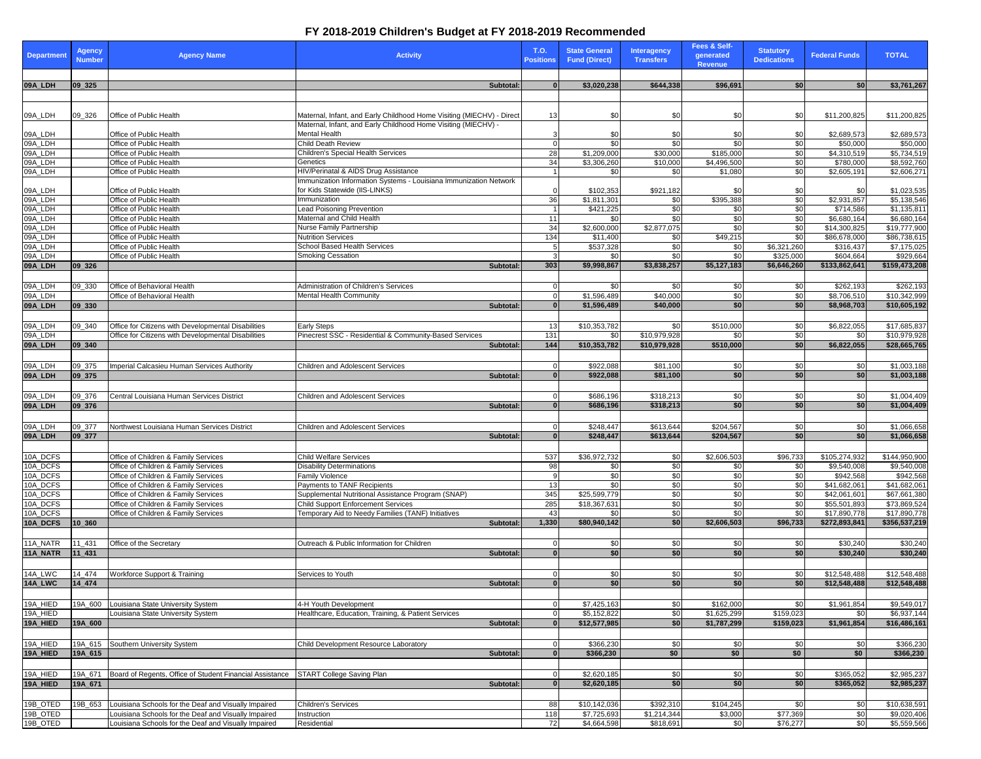## **FY 2018-2019 Children's Budget at FY 2018-2019 Recommended**

| Department           | <b>Agency</b><br><b>Number</b> | <b>Agency Name</b>                                                           | <b>Activity</b>                                                                                 | <b>T.O.</b><br><b>Positions</b> | <b>State General</b><br><b>Fund (Direct)</b> | <b>Interagency</b><br><b>Transfers</b> | <b>Fees &amp; Self-</b><br>generated<br><b>Revenue</b> | <b>Statutory</b><br><b>Dedications</b> | <b>Federal Funds</b>         | <b>TOTAL</b>                 |
|----------------------|--------------------------------|------------------------------------------------------------------------------|-------------------------------------------------------------------------------------------------|---------------------------------|----------------------------------------------|----------------------------------------|--------------------------------------------------------|----------------------------------------|------------------------------|------------------------------|
| 09A_LDH              | 09 325                         |                                                                              | Subtotal:                                                                                       |                                 | \$3,020,238                                  | \$644,338                              | \$96,691                                               | \$0                                    | \$0                          | \$3,761,267                  |
|                      |                                |                                                                              |                                                                                                 |                                 |                                              |                                        |                                                        |                                        |                              |                              |
| 09A_LDH              | 09_326                         | Office of Public Health                                                      | Maternal, Infant, and Early Childhood Home Visiting (MIECHV) - Direct                           | 13                              | \$0                                          | 30                                     | \$0                                                    | \$0                                    | \$11,200,825                 | \$11,200,825                 |
|                      |                                |                                                                              | Maternal, Infant, and Early Childhood Home Visiting (MIECHV) -                                  |                                 |                                              |                                        |                                                        |                                        |                              |                              |
| 09A_LDH<br>09A_LDH   |                                | Office of Public Health<br>Office of Public Health                           | Mental Health<br><b>Child Death Review</b>                                                      |                                 | \$0<br>\$0                                   | \$0<br>\$0                             | \$0<br>$\overline{50}$                                 | \$0<br>$\overline{50}$                 | \$2,689,573<br>\$50,000      | \$2,689,573                  |
|                      |                                | Office of Public Health                                                      | <b>Children's Special Health Services</b>                                                       | 28                              | \$1,209,000                                  | \$30,000                               | \$185,000                                              | \$0                                    | \$4,310,519                  | \$50,000<br>\$5,734,519      |
| 09A_LDH<br>09A_LDH   |                                | Office of Public Health                                                      | Genetics                                                                                        | 34                              | \$3,306,260                                  | \$10,000                               | \$4,496,500                                            | $\overline{30}$                        | \$780,000                    | \$8,592,760                  |
| 09A_LDH              |                                | Office of Public Health                                                      | HIV/Perinatal & AIDS Drug Assistance                                                            |                                 | \$0                                          | \$0                                    | \$1,080                                                | $\frac{6}{3}$                          | \$2,605,191                  | \$2,606,271                  |
|                      |                                |                                                                              | Immunization Information Systems - Louisiana Immunization Network                               |                                 |                                              |                                        |                                                        |                                        |                              |                              |
| 09A_LDH              |                                | Office of Public Health                                                      | for Kids Statewide (IIS-LINKS)                                                                  |                                 | \$102,353                                    | \$921,182                              | \$0                                                    | \$0                                    | \$0                          | \$1,023,535                  |
| 09A_LDH<br>09A_LDH   |                                | Office of Public Health<br>Office of Public Health                           | Immunization<br><b>Lead Poisoning Prevention</b>                                                | 36                              | \$1,811,301<br>\$421,225                     | \$0<br>\$0                             | \$395,388<br>\$0                                       | \$0<br>\$0                             | \$2,931,857<br>\$714,586     | \$5,138,546<br>\$1,135,811   |
| 09A_LDH              |                                | Office of Public Health                                                      | Maternal and Child Health                                                                       | -11                             | \$0                                          | \$0                                    | $\sqrt{6}$                                             | $\frac{6}{5}$                          | \$6,680,164                  | \$6,680,164                  |
| 09A_LDH              |                                | Office of Public Health                                                      | <b>Nurse Family Partnership</b>                                                                 | 34                              | \$2,600,000                                  | \$2,877,075                            | \$0                                                    | $\frac{6}{3}$                          | \$14,300,825                 | \$19,777,900                 |
| 09A_LDH              |                                | Office of Public Health                                                      | <b>Nutrition Services</b>                                                                       | 134                             | \$11,400                                     | \$0                                    | \$49,215                                               | \$0                                    | \$86,678,000                 | \$86,738,615                 |
| 09A_LDH              |                                | Office of Public Health                                                      | <b>School Based Health Services</b>                                                             |                                 | \$537,328                                    | \$0                                    | \$0                                                    | \$6,321,260                            | \$316,437                    | \$7,175,025                  |
| 09A_LDH              |                                | Office of Public Health                                                      | <b>Smoking Cessation</b>                                                                        |                                 | \$0                                          | \$0                                    | \$0                                                    | \$325,000                              | \$604,664                    | \$929,664                    |
| 09A_LDH              | 09 326                         |                                                                              | <b>Subtotal:</b>                                                                                | 303                             | \$9,998,867                                  | \$3,838,257                            | \$5,127,183                                            | \$6,646,260                            | \$133,862,641                | \$159,473,208                |
|                      |                                |                                                                              |                                                                                                 |                                 |                                              |                                        |                                                        |                                        |                              |                              |
| 09A_LDH<br>09A_LDH   | 09_330                         | Office of Behavioral Health<br>Office of Behavioral Health                   | <b>Administration of Children's Services</b><br><b>Mental Health Community</b>                  |                                 | \$0<br>\$1,596,489                           | \$0<br>\$40,000                        | \$0<br>\$0                                             | \$0<br>$\frac{6}{5}$                   | \$262,193<br>\$8,706,510     | \$262,193<br>\$10,342,999    |
| 09A_LDH              | $ 09$ 330                      |                                                                              | Subtotal:                                                                                       |                                 | \$1,596,489                                  | \$40,000                               | \$0                                                    | \$0                                    | \$8,968,703                  | \$10,605,192                 |
|                      |                                |                                                                              |                                                                                                 |                                 |                                              |                                        |                                                        |                                        |                              |                              |
| 09A_LDH              | 09 340                         | Office for Citizens with Developmental Disabilities                          | <b>Early Steps</b>                                                                              | -13                             | \$10,353,782                                 | <b>SO</b>                              | \$510,000                                              | \$0                                    | \$6,822,055                  | \$17,685,837                 |
| 09A_LDH              |                                | Office for Citizens with Developmental Disabilities                          | Pinecrest SSC - Residential & Community-Based Services                                          | 131                             | \$0                                          | \$10,979,928                           | \$0                                                    | $\overline{50}$                        | \$0                          | \$10,979,928                 |
| 09A_LDH              | $ 09 - 340$                    |                                                                              | Subtotal:                                                                                       | 144                             | \$10,353,782                                 | \$10,979,928                           | \$510,000                                              | \$0                                    | \$6,822,055                  | \$28,665,765                 |
|                      |                                |                                                                              |                                                                                                 |                                 |                                              |                                        |                                                        |                                        |                              |                              |
| 09A_LDH              | 09_375                         | Imperial Calcasieu Human Services Authority                                  | <b>Children and Adolescent Services</b>                                                         |                                 | \$922,088                                    | \$81,100                               | \$0                                                    | \$0                                    | \$0                          | \$1,003,188                  |
| 09A_LDH              | 09 375                         |                                                                              | <b>Subtotal:</b>                                                                                |                                 | \$922,088                                    | \$81,100                               | \$0                                                    | \$0                                    | \$0                          | \$1,003,188                  |
|                      |                                |                                                                              |                                                                                                 |                                 |                                              |                                        |                                                        |                                        |                              |                              |
|                      |                                | 09A_LDH 09_376 Central Louisiana Human Services District<br>09A_LDH 09_376   | <b>Children and Adolescent Services</b>                                                         |                                 | \$686,196                                    | \$318,213                              | \$0<br>sol                                             | $\sqrt[6]{30}$<br>$\overline{50}$      | $\sqrt{50}$<br>\$0           | \$1,004,409                  |
|                      |                                |                                                                              | <b>Subtotal:</b>                                                                                |                                 | \$686,196                                    | \$318,213                              |                                                        |                                        |                              | \$1,004,409                  |
| 09A_LDH              | 09_377                         | Northwest Louisiana Human Services District                                  | <b>Children and Adolescent Services</b>                                                         |                                 | \$248,447                                    | \$613,644                              | \$204,567                                              | \$0                                    | \$0                          | \$1,066,658                  |
| 09A_LDH              | $ 09$ _377                     |                                                                              | Subtotal:                                                                                       |                                 | \$248,447                                    | \$613,644                              | \$204,567                                              | \$0                                    | \$0                          | \$1,066,658                  |
|                      |                                |                                                                              |                                                                                                 |                                 |                                              |                                        |                                                        |                                        |                              |                              |
| 10A_DCFS             |                                | Office of Children & Family Services                                         | <b>Child Welfare Services</b>                                                                   | 537                             | \$36,972,732                                 | 30                                     | $\overline{$2,606,503}$                                | \$96,733                               | \$105,274,932                | \$144,950,900                |
| 10A_DCFS             |                                | Office of Children & Family Services                                         | <b>Disability Determinations</b>                                                                | 98                              | \$0                                          | \$0                                    | \$0                                                    | \$0                                    | \$9,540,008                  | \$9,540,008                  |
| 10A_DCFS             |                                | Office of Children & Family Services                                         | <b>Family Violence</b>                                                                          |                                 | \$0                                          | \$0                                    | \$0                                                    | \$0                                    | \$942,568                    | \$942,568                    |
| 10A_DCFS             |                                | Office of Children & Family Services                                         | Payments to TANF Recipients                                                                     | -13                             | \$0                                          | \$0                                    | \$0                                                    | \$0                                    | \$41,682,061                 | \$41,682,061                 |
| 10A_DCFS             |                                | Office of Children & Family Services                                         | Supplemental Nutritional Assistance Program (SNAP)                                              | 345                             | \$25,599,779                                 | \$0                                    | \$0                                                    | $\frac{6}{5}$                          | \$42,061,601                 | \$67,661,380                 |
| 10A_DCFS<br>10A_DCFS |                                | Office of Children & Family Services<br>Office of Children & Family Services | <b>Child Support Enforcement Services</b><br>Temporary Aid to Needy Families (TANF) Initiatives | 285<br>43                       | \$18,367,631<br>\$0                          | \$0<br>\$0                             | \$0<br>\$0                                             | $\frac{6}{2}$<br>$\frac{1}{6}$         | \$55,501,893<br>\$17,890,778 | \$73,869,524<br>\$17,890,778 |
| 10A_DCFS             | 10,360                         |                                                                              | <b>Subtotal:</b>                                                                                | 1,330                           | \$80,940,142                                 | \$0                                    | \$2,606,503                                            | \$96,733                               | \$272,893,841                | \$356,537,219                |
|                      |                                |                                                                              |                                                                                                 |                                 |                                              |                                        |                                                        |                                        |                              |                              |
| 11A_NATR             | 11_431                         | Office of the Secretary                                                      | Outreach & Public Information for Children                                                      |                                 | \$0                                          | \$0                                    | \$0                                                    | \$0                                    | \$30,240                     | \$30,240                     |
| 11A_NATR             | $11 - 431$                     |                                                                              | <b>Subtotal:</b>                                                                                |                                 | \$0                                          | \$0                                    | \$0                                                    | $\overline{50}$                        | \$30,240                     | \$30,240                     |
|                      |                                |                                                                              |                                                                                                 |                                 |                                              |                                        |                                                        |                                        |                              |                              |
| 14A_LWC              | 14_474                         | Workforce Support & Training                                                 | Services to Youth                                                                               |                                 | \$0                                          | \$0                                    | \$0                                                    | \$0                                    | \$12,548,488                 | \$12,548,488                 |
| 14A_LWC              | $14 - 474$                     |                                                                              | Subtotal:                                                                                       |                                 | \$0                                          | \$0                                    | \$0                                                    | $s$ <sub>0</sub>                       | \$12,548,488                 | \$12,548,488                 |
|                      |                                |                                                                              |                                                                                                 |                                 |                                              |                                        |                                                        |                                        |                              |                              |
| 19A_HIED             | 19A_600                        | Louisiana State University System                                            | 4-H Youth Development                                                                           |                                 | \$7,425,163                                  | \$0                                    | \$162,000                                              | \$0                                    | \$1,961,854                  | \$9,549,017                  |
| 19A_HIED             |                                | Louisiana State University System                                            | Healthcare, Education, Training, & Patient Services                                             |                                 | \$5,152,822                                  | \$0                                    | \$1,625,299                                            | \$159,023                              | \$0                          | \$6,937,144                  |
| 19A_HIED             | 19A_600                        |                                                                              | Subtotal:                                                                                       |                                 | \$12,577,985                                 | \$0                                    | \$1,787,299                                            | \$159,023                              | \$1,961,854                  | \$16,486,161                 |
|                      |                                |                                                                              |                                                                                                 |                                 |                                              |                                        |                                                        |                                        |                              |                              |
| 19A_HIED<br>19A_HIED | 19A_615<br>19A_615             | Southern University System                                                   | Child Development Resource Laboratory                                                           |                                 | \$366,230<br>\$366,230                       | 30 <br>\$0                             | \$0<br>\$0                                             | \$0<br>\$0                             | \$0<br>\$0                   | \$366,230<br>\$366,230       |
|                      |                                |                                                                              | <b>Subtotal:</b>                                                                                |                                 |                                              |                                        |                                                        |                                        |                              |                              |
| 19A_HIED             | 19A_671                        | Board of Regents, Office of Student Financial Assistance                     | <b>START College Saving Plan</b>                                                                |                                 | \$2,620,185                                  | \$0                                    | \$0                                                    | \$0                                    | \$365,052                    | \$2,985,237                  |
| 19A_HIED             | 19A_671                        |                                                                              | Subtotal:                                                                                       |                                 | \$2,620,185                                  | \$0                                    | \$0                                                    | \$0                                    | \$365,052                    | \$2,985,237                  |
|                      |                                |                                                                              |                                                                                                 |                                 |                                              |                                        |                                                        |                                        |                              |                              |
| 19B_OTED             | 19B_653                        | Louisiana Schools for the Deaf and Visually Impaired                         | <b>Children's Services</b>                                                                      | 88                              | \$10,142,036                                 | \$392,310                              | \$104,245                                              | \$0                                    | \$0                          | \$10,638,591                 |
| 19B_OTED             |                                | Louisiana Schools for the Deaf and Visually Impaired                         | Instruction                                                                                     | 118                             | \$7,725,693                                  | \$1,214,344                            | \$3,000                                                | \$77,369                               | \$0                          | \$9,020,406                  |
| 19B_OTED             |                                | Louisiana Schools for the Deaf and Visually Impaired                         | Residential                                                                                     | 72                              | \$4,664,598                                  | \$818,691                              | \$0                                                    | \$76,277                               | \$0                          | \$5,559,566                  |